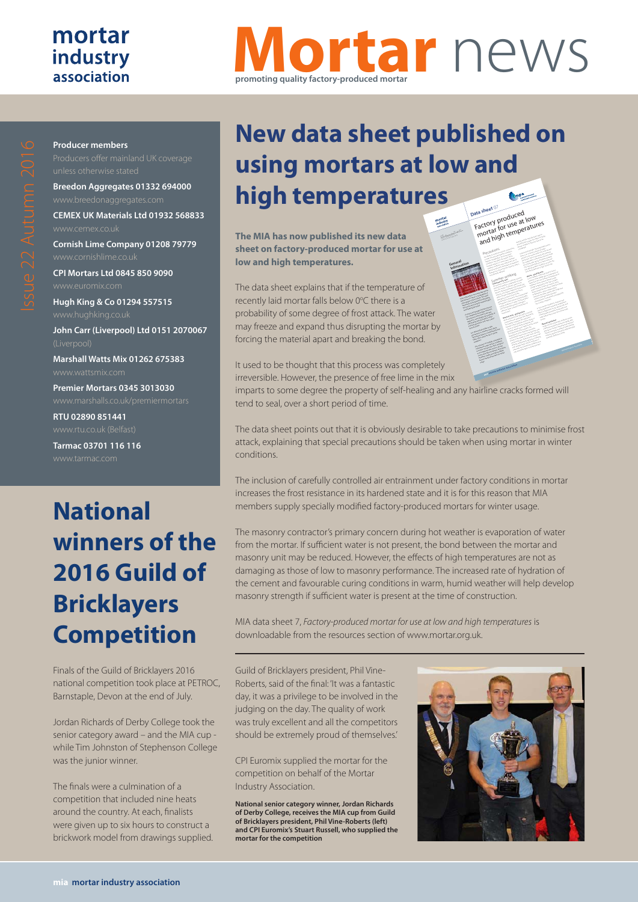### mortar industry association

**Producer members**

# **Mortar** news **promoting quality factory-produced mortar**

**CPI Mortars Ltd 0845 850 9090 Hugh King & Co 01294 557515 John Carr (Liverpool) Ltd 0151 2070067 Marshall Watts Mix 01262 675383** www.wattsmix.com

**Breedon Aggregates 01332 694000**

**CEMEX UK Materials Ltd 01932 568833**

**Cornish Lime Company 01208 79779**

**Premier Mortars 0345 3013030**

**RTU 02890 851441**

**Tarmac 03701 116 116**

## **National winners of the 2016 Guild of Bricklayers Competition**

Finals of the Guild of Bricklayers 2016 national competition took place at PETROC, Barnstaple, Devon at the end of July.

Jordan Richards of Derby College took the senior category award – and the MIA cup while Tim Johnston of Stephenson College was the junior winner.

The finals were a culmination of a competition that included nine heats around the country. At each, finalists were given up to six hours to construct a brickwork model from drawings supplied.

## **New data sheet published on using mortars at low and high temperatures** (tonpa **Data sheet** <sup>07</sup>ala shervy produced<br>Factory produced low<br>mortar for use at low<br>and high temperatures

**The MIA has now published its new data sheet on factory-produced mortar for use at low and high temperatures.**

The data sheet explains that if the temperature of recently laid mortar falls below 0°C there is a probability of some degree of frost attack. The water may freeze and expand thus disrupting the mortar by forcing the material apart and breaking the bond.

It used to be thought that this process was completely irreversible. However, the presence of free lime in the mix

imparts to some degree the property of self-healing and any hairline cracks formed will tend to seal, over a short period of time.

The data sheet points out that it is obviously desirable to take precautions to minimise frost attack, explaining that special precautions should be taken when using mortar in winter conditions.

The inclusion of carefully controlled air entrainment under factory conditions in mortar increases the frost resistance in its hardened state and it is for this reason that MIA members supply specially modified factory-produced mortars for winter usage.

The masonry contractor's primary concern during hot weather is evaporation of water from the mortar. If sufficient water is not present, the bond between the mortar and masonry unit may be reduced. However, the effects of high temperatures are not as damaging as those of low to masonry performance. The increased rate of hydration of the cement and favourable curing conditions in warm, humid weather will help develop masonry strength if sufficient water is present at the time of construction.

MIA data sheet 7, *Factory-produced mortar for use at low and high temperatures* is downloadable from the resources section of www.mortar.org.uk.

Guild of Bricklayers president, Phil Vine-Roberts, said of the final: 'It was a fantastic day, it was a privilege to be involved in the judging on the day. The quality of work was truly excellent and all the competitors should be extremely proud of themselves.'

CPI Euromix supplied the mortar for the competition on behalf of the Mortar Industry Association.

**National senior category winner, Jordan Richards of Derby College, receives the MIA cup from Guild of Bricklayers president, Phil Vine-Roberts (left) and CPI Euromix's Stuart Russell, who supplied the mortar for the competition**



are under the more excessive water and the second water and the second water and the second water and the second<br>The second water water water and the second water and the second water and the second water and the second wa loss shortly after laying showledge after a showledge after a showledge after a showledge after a showledge af<br>In the control of the control of the control of the control of the control of the control of the control of th<br> This may potential ly the company of the company of the company of the company of the company of the company of the company of the company of the company of the company of the company of the company of the company of the c hot, drying weather conditions or when the second conditions of the conditions of the conditions of the conditions of the conditions of the conditions of the conditions of the conditions of the conditions of the conditions units being laid have a high succession rate.<br>Units being a high such a high succession rate.<br>Units being laid have a **Mortar - good practice** In hot weather and the second tend to lose its mortal tend to lose its mortal tend to lose its mortal tend to l<br>The second tend to lose its mortal tend to lose its mortal tend to lose its mortal tend to lose its mortal te<br> plasticity more rapidly due to evaporation of the contract of the contract of the contract of the contract of<br>a plasticity more rapidly due to evaporation of the contract of the contract of the contract of the contract o<br>p water from the mix and the increased rate of the increase of the increase of the increase of the increased rate of the increased rate of the increased rate of the increased rate of the increased rate of the increased rate hydration of the cement. Mortar mixed<br>hydration of the cement. Mortar mixed and<br>widration of the cement. Mortar mixed and at high temperatures may have a higher<br>a high temperature may have a higher and higher<br>a higher and higher a higher and higher and higher<br>a higher and higher and higher water content, a lower air content, and a shorter board life than the shorter at normal at normal at normal at normal at normal at normal at normal at n<br>Shorter at normal at normal at normal at normal at normal at normal at normal at normal at normal at normal at<br> temperatures, under the most of the competition of the competition of the competition of the competition of th<br>Separature and the competition of the competition of the competition of the competition of the competition of<br>S measures are taken. Mortar with a high lime content and high water retention characteristics is sometimes considered for<br>which are also the constant considered for the constant of the constant of the constant of the constant of the<br>considered for the constant of the considered for the considered fo use in the conditions. In hot summer conditions, materials and mix in the showless and the short description of the short description of the shaded from the shaded from the<br>In the shaded from the shaded from the shaded from the shaded from the shaded from the shaded from the shaded<br>Th direct sunlight prior to use. Mortar tubs and the control of the sunlight prior tubs and tubs and tubs and tub<br>2000 and the sunlight prior tubs and tubs and tubs and tubs and tubs and tubs and tubs and tubs and tubs and t<br> mortar boards should be rinsed with a cool of the cool of the cool of the cool of the cool of the cool of the<br>should be realized by the cool of the cool of the cool of the cool of the cool of the cool of the cool of the<br>sh water before they come into contact with<br>parts hardware exceed by the contact with<br>contact before they come into contact **Masonry Protection** Under hot, dry and windy conditions, bricks, and windy conditions, bricks, and windy conditions, bricks, and w<br>The second state of the conditions, bricks, and windy conditions, and windy conditions, and windy conditions,<br>T and blocks showledge after the laid more rapidly after place the mortal time more tool scale<br>holds in the mortal to see that the scale may be necessary to protect new lines.<br>The start of protect new lines and the protect of the start of the start of the start of the start of the star<br>The start of the start of the start of the start of the start of the sta masonry against excessive against the company of the company of the company of the company of the company of the company of the company of the company of the company of the company of the company of the company of the comp sheeting, shading or similar.

Mineral Products Association

come affect the quality of the quality of the quality of the quality of the quality of the quality of the quality of the quality of the quality of the quality of the quality of the quality of the quality of the quality of finished masonry. In some cases, extremely<br>particularly and product cases, extremely and product cases, extremely<br>cases, extremely and product cases, extremely and product cases, and product cases, and product cases, and p weather conditions may warrant the use of the use of the use of the use of the use of the use of the use of th<br>weather conditions may warrant the use of the use of the use of the use of the use of the use of the use of th<br> special construction techniques or protective measures to ensure the mass of the mass of the mass of the mass of the mass of the mass of the mass of the mas<br>start of the mass of the mass of the mass of the mass of the mass of the mass of the mass of the mass of the m<br> not adversely affected. Summer working **Laying masonry units** The mass of the mass of the mass of the mass of the mass of the mass of the mass of the mass of the mass of the<br>The mass of the mass of the mass of the mass of the mass of the mass of the mass of the mass of the mass of th during hot weather is evaporation of water<br>model and the second of water is evaporation of water<br>the party of water is evaporately water is evaporately from the mortal and the mortal and the mortal and the mortal and the mortal and the mortal and the mortal and<br>The mortal and the mortal and the mortal and the mortal and the mortal and the mortal and the mortal and the m<br>T present a mortal distribution of the mortal and and<br>present and the mortal distribution of the mortal distribution of the mortal distribution of the mortal distri<br>present and mortal distribution of the mortal distribution mas on the reduced. However, the reduced.<br>However, the special state and special special state and the reduced.<br>However, the reduced special state and the reduced. effects of high temperatures are not as<br>an effect of the main of the main and as a set of the set of the main and as a set of the set of the set of th<br>and property of the set of the set of the set of the set of the set of performance of massed rates and content<br>performance of massed rates and content of massed rates and content of massed rates and content of massed rate<br>performance of massed rates and content of massed rates and content of of hydration of the cement and favourable<br>possibly in the cement and favourable<br>possibly in the cement and favourable curing conditions in warm, humid weather<br>global conditions in warm, humid weather<br>state conditions in warm, humid weather will help develop masonry strength if sufficient water is present at the time of the<br>sufficient water is present at the time of the<br>sufficient water construction. **Masonry units - good practice** Bricks and blocks and blocks and the second that are used in masonry and the contract of the contract of the c<br>Bricks and the contract of the contract of the contract of the contract of the contract of the contract of the<br> construction are generally little affected by the construction are generally little affected by the construction and the construction are general to the construction and the construction are general to the construction and hot weather. However, the interaction of the interaction of the interaction of the interaction of the interact<br>And the interaction of the interaction of the interaction of the interaction of the interaction of the interac<br> generally absorbed absorbed absorbed absorbed absorbed absorbed absorbed absorbed absorbed absorbed absorbed a<br>Second absorbed absorbed absorbed absorbed absorbed absorbed absorbed absorbed absorbed absorbed absorbed abso<br> temperature of the materials should be<br>percent product of the materials should be<br>percent product of the materials should be blocks in the shade or under cover will help the<br>shade of under cover will help the shade of under cover will help the shade of under cover will have a shade o<br>shade of under cover will have a shade of under cover will hav control heat gain. Reducing the successive and the successive and control heat gain. Reducing the successive a<br>The successive and the successive and the successive and the successive and the successive and the successive<br>T of bricks and blocks by spraying or docking<br>bricks by spraying or docking by spraying and by spraying and by spraying and by spraying and by spraying and<br>contract by spraying and by spraying and by spraying and by spraying with the potable water may be necessary in<br>which potable water may be necessary in<br>the necessary in the necessary in the most extremely hot and drying conditions, but<br>Extremely hot and drying conditions, but<br>when the party and drying accounts care show that the dealer show the show that the control of the show of the control of the control of the control of the control of the control of the control of the control of the control of the control of the control of

**General Information**

 $\geq$  $\sum_{i=1}^n \sum_{j=1}^n \sum_{j=1}^n \sum_{j=1}^n \sum_{j=1}^n \sum_{j=1}^n \sum_{j=1}^n \sum_{j=1}^n \sum_{j=1}^n \sum_{j=1}^n \sum_{j=1}^n \sum_{j=1}^n \sum_{j=1}^n \sum_{j=1}^n \sum_{j=1}^n \sum_{j=1}^n \sum_{j=1}^n \sum_{j=1}^n \sum_{j=1}^n \sum_{j=1}^n \sum_{j=1}^n \sum_{j=1}^n \sum_{j=1}^n \sum_{j=1}^n \sum_{j$ .<br>مستعصر

mortar

If the temperature of recently laid more than falls below the design of probability of the state of the state of the state of the state of the state of the state of the state of the state of the state of the state of the state of the state of the state of the state of some degree of the water of a processed at the water of the water ma freeze and expand the distrussion of the second the second the second the second the second the second the second the second the second the second the second the second the second the second the second the second the se the mortal and description the mortal apart<br>here of the more description that modeling apart<br>material control the based and breaking the board<br>Breaking the bond. It provides the except that the process o kines to be exceeded and in particular the presence of free lime in the mixed of the mixed of the mixed of the mixed of the mixed of the mixed of the<br>search statement of the mixed of the mixed of the mixed of the mixed of the mixed of the mixed of the mixed o<br>s visit to some degree that you property of<br>any some degree of property over property of<br>the property of some degree that could se prevente over degree cracks<br>self-healing and any hairline cracks<br>where any and hours creeks formed will tend to seal, over a short<br>model will tend and and social, over a short<br>will tell the seal period of time. At is obviously desirable to take precautions to minimize from a probe<br>precautions to minimize from probe<br>precautions to minimize a contractor Special precautions show the should the should be<br>Special precautions in the showledge of the showledge of the showledge of the showledge of the showledge of th<br>Special definitions showledge the showledge of the showledge taken when using mortar in winter conditions. The inclusion of carefully controlled air<br>The inclusion of carefully controlled air of carefully controlled air of controlled air of carefully controll<br>The inclusion of carefully controlled air of carefully controlled air entrantent und der factory conditions in mortar increases the first resistance<br>in mortar and detail the first resistance<br>in mortal words data and line first in its hardened state and it is for the reason that Mortage and E.S. Association<br>In entity association of the Holyday Association and Association<br>In the Mortage and Mortage and Association and Association members supply supply and the suppliers of the state of the state of the state of the state of the state of th<br>In the state of the state of the state of the state of the state of the state of the state of the state of the<br> factory published mortals for winter<br>gallery produced mortals for winter usage.

**mia mortar industry association**